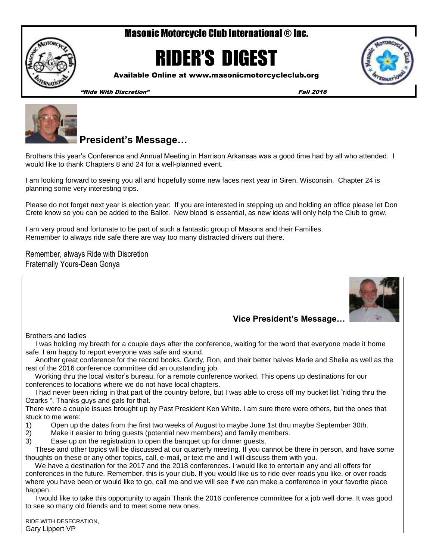# Masonic Motorcycle Club International ® Inc.



# RIDER'S DIGEST



Available Online at www.masonicmotorcycleclub.org

"Ride With Discretion" Fall 2016



# **President's Message…**

Brothers this year's Conference and Annual Meeting in Harrison Arkansas was a good time had by all who attended. I would like to thank Chapters 8 and 24 for a well-planned event.

I am looking forward to seeing you all and hopefully some new faces next year in Siren, Wisconsin. Chapter 24 is planning some very interesting trips.

Please do not forget next year is election year: If you are interested in stepping up and holding an office please let Don Crete know so you can be added to the Ballot. New blood is essential, as new ideas will only help the Club to grow.

I am very proud and fortunate to be part of such a fantastic group of Masons and their Families. Remember to always ride safe there are way too many distracted drivers out there.

Remember, always Ride with Discretion Fraternally Yours-Dean Gonya



## **Vice President's Message…**

Brothers and ladies

 I was holding my breath for a couple days after the conference, waiting for the word that everyone made it home safe. I am happy to report everyone was safe and sound.

 Another great conference for the record books. Gordy, Ron, and their better halves Marie and Shelia as well as the rest of the 2016 conference committee did an outstanding job.

 Working thru the local visitor's bureau, for a remote conference worked. This opens up destinations for our conferences to locations where we do not have local chapters.

 I had never been riding in that part of the country before, but I was able to cross off my bucket list "riding thru the Ozarks ". Thanks guys and gals for that.

There were a couple issues brought up by Past President Ken White. I am sure there were others, but the ones that stuck to me were:

- 1) Open up the dates from the first two weeks of August to maybe June 1st thru maybe September 30th.
- 2) Make it easier to bring guests (potential new members) and family members.
- 3) Ease up on the registration to open the banquet up for dinner guests.

 These and other topics will be discussed at our quarterly meeting. If you cannot be there in person, and have some thoughts on these or any other topics, call, e-mail, or text me and I will discuss them with you.

 We have a destination for the 2017 and the 2018 conferences. I would like to entertain any and all offers for conferences in the future. Remember, this is your club. If you would like us to ride over roads you like, or over roads where you have been or would like to go, call me and we will see if we can make a conference in your favorite place happen.

 I would like to take this opportunity to again Thank the 2016 conference committee for a job well done. It was good to see so many old friends and to meet some new ones.

RIDE WITH DESECRATION, Gary Lippert VP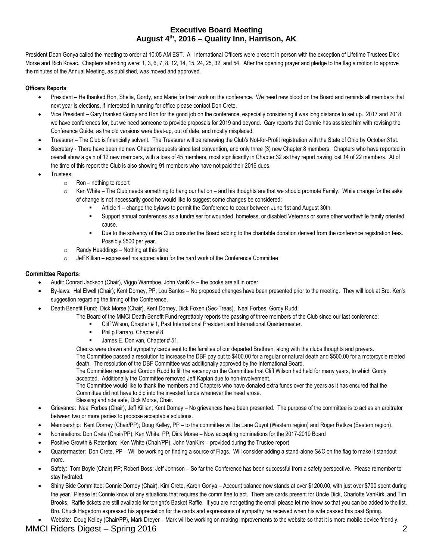### **Executive Board Meeting August 4th, 2016 – Quality Inn, Harrison, AK**

President Dean Gonya called the meeting to order at 10:05 AM EST. All International Officers were present in person with the exception of Lifetime Trustees Dick Morse and Rich Kovac. Chapters attending were: 1, 3, 6, 7, 8, 12, 14, 15, 24, 25, 32, and 54. After the opening prayer and pledge to the flag a motion to approve the minutes of the Annual Meeting, as published, was moved and approved.

#### **Officers Reports**:

- President He thanked Ron, Shelia, Gordy, and Marie for their work on the conference. We need new blood on the Board and reminds all members that next year is elections, if interested in running for office please contact Don Crete.
- Vice President Gary thanked Gordy and Ron for the good job on the conference, especially considering it was long distance to set up. 2017 and 2018 we have conferences for, but we need someone to provide proposals for 2019 and beyond. Gary reports that Connie has assisted him with revising the Conference Guide; as the old versions were beat-up, out of date, and mostly misplaced.
- Treasurer The Club is financially solvent. The Treasurer will be renewing the Club's Not-for-Profit registration with the State of Ohio by October 31st.
- Secretary There have been no new Chapter requests since last convention, and only three (3) new Chapter 8 members. Chapters who have reported in overall show a gain of 12 new members, with a loss of 45 members, most significantly in Chapter 32 as they report having lost 14 of 22 members. At of the time of this report the Club is also showing 91 members who have not paid their 2016 dues.
- Trustees:
	- o Ron nothing to report
	- $\circ$  Ken White The Club needs something to hang our hat on and his thoughts are that we should promote Family. While change for the sake of change is not necessarily good he would like to suggest some changes be considered:
		- Article 1 change the bylaws to permit the Conference to occur between June 1st and August 30th.
		- Support annual conferences as a fundraiser for wounded, homeless, or disabled Veterans or some other worthwhile family oriented cause.
		- Due to the solvency of the Club consider the Board adding to the charitable donation derived from the conference registration fees. Possibly \$500 per year.
	- $\circ$  Randy Headdings Nothing at this time
	- $\circ$  Jeff Killian expressed his appreciation for the hard work of the Conference Committee

#### **Committee Reports**:

- Audit: Conrad Jackson (Chair), Viggo Warmboe, John VanKirk the books are all in order.
- By-laws: Hal Elwell (Chair); Kent Dorney, PP; Lou Santos No proposed changes have been presented prior to the meeting. They will look at Bro. Ken's suggestion regarding the timing of the Conference.
- Death Benefit Fund: Dick Morse (Chair), Kent Dorney, Dick Foxen (Sec-Treas), Neal Forbes, Gordy Rudd:
	- The Board of the MMCI Death Benefit Fund regrettably reports the passing of three members of the Club since our last conference:
		- Cliff Wilson, Chapter # 1, Past International President and International Quartermaster.
		- Philip Farraro, Chapter # 8.
		- James E. Donivan, Chapter # 51.

Checks were drawn and sympathy cards sent to the families of our departed Brethren, along with the clubs thoughts and prayers. The Committee passed a resolution to increase the DBF pay out to \$400.00 for a regular or natural death and \$500.00 for a motorcycle related death. The resolution of the DBF Committee was additionally approved by the International Board.

The Committee requested Gordon Rudd to fill the vacancy on the Committee that Cliff Wilson had held for many years, to which Gordy accepted. Additionally the Committee removed Jeff Kaplan due to non-involvement.

The Committee would like to thank the members and Chapters who have donated extra funds over the years as it has ensured that the Committee did not have to dip into the invested funds whenever the need arose.

- Blessing and ride safe, Dick Morse, Chair.
- Grievance: Neal Forbes (Chair); Jeff Killian; Kent Dorney No grievances have been presented. The purpose of the committee is to act as an arbitrator between two or more parties to propose acceptable solutions.
- Membership: Kent Dorney (Chair/PP); Doug Kelley, PP to the committee will be Lane Guyot (Western region) and Roger Retkze (Eastern region).
- Nominations: Don Crete (Chair/PP); Ken White, PP; Dick Morse Now accepting nominations for the 2017-2019 Board
- Positive Growth & Retention: Ken White (Chair/PP), John VanKirk provided during the Trustee report
- Quartermaster: Don Crete, PP Will be working on finding a source of Flags. Will consider adding a stand-alone S&C on the flag to make it standout more.
- Safety: Tom Boyle (Chair);PP; Robert Boss; Jeff Johnson So far the Conference has been successful from a safety perspective. Please remember to stay hydrated.
- Shiny Side Committee: Connie Dorney (Chair), Kim Crete, Karen Gonya Account balance now stands at over \$1200.00, with just over \$700 spent during the year. Please let Connie know of any situations that requires the committee to act. There are cards present for Uncle Dick, Charlotte VanKirk, and Tim Brooks. Raffle tickets are still available for tonight's Basket Raffle. If you are not getting the email please let me know so that you can be added to the list. Bro. Chuck Hagedorn expressed his appreciation for the cards and expressions of sympathy he received when his wife passed this past Spring.
- Website: Doug Kelley (Chair/PP), Mark Dreyer Mark will be working on making improvements to the website so that it is more mobile device friendly.

## MMCI Riders Digest – Spring 2016 2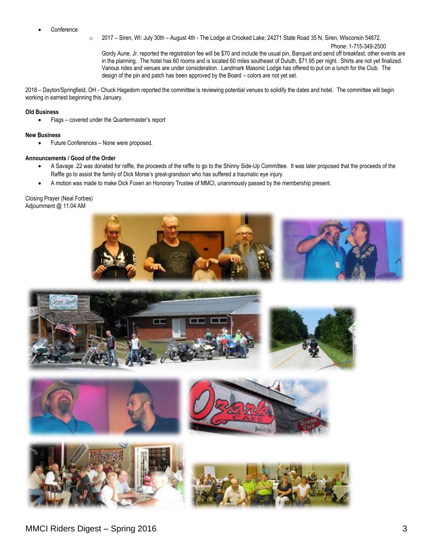- **Conference**
- o 2017 Siren, WI: July 30th August 4th The Lodge at Crooked Lake; 24271 State Road 35 N, Siren, Wisconsin 54872.

Phone: 1-715-349-2500 Gordy Aune, Jr. reported the registration fee will be \$70 and include the usual pin, Banquet and send off breakfast; other events are in the planning. The hotel has 60 rooms and is located 60 miles southeast of Duluth, \$71.95 per night. Shirts are not yet finalized. Various rides and venues are under consideration. Landmark Masonic Lodge has offered to put on a lunch for the Club. The design of the pin and patch has been approved by the Board – colors are not yet set.

2018 – Dayton/Springfield, OH - Chuck Hagedorn reported the committee is reviewing potential venues to solidify the dates and hotel. The committee will begin working in earnest beginning this January.

#### **Old Business**

• Flags – covered under the Quartermaster's report

#### **New Business**

Future Conferences – None were proposed.

#### **Announcements / Good of the Order**

- A Savage .22 was donated for raffle, the proceeds of the raffle to go to the Shinny Side-Up Committee. It was later proposed that the proceeds of the Raffle go to assist the family of Dick Morse's great-grandson who has suffered a traumatic eye injury.
- A motion was made to make Dick Foxen an Honorary Trustee of MMCI, unanimously passed by the membership present.

Closing Prayer (Neal Forbes) Adjournment @ 11:04 AM